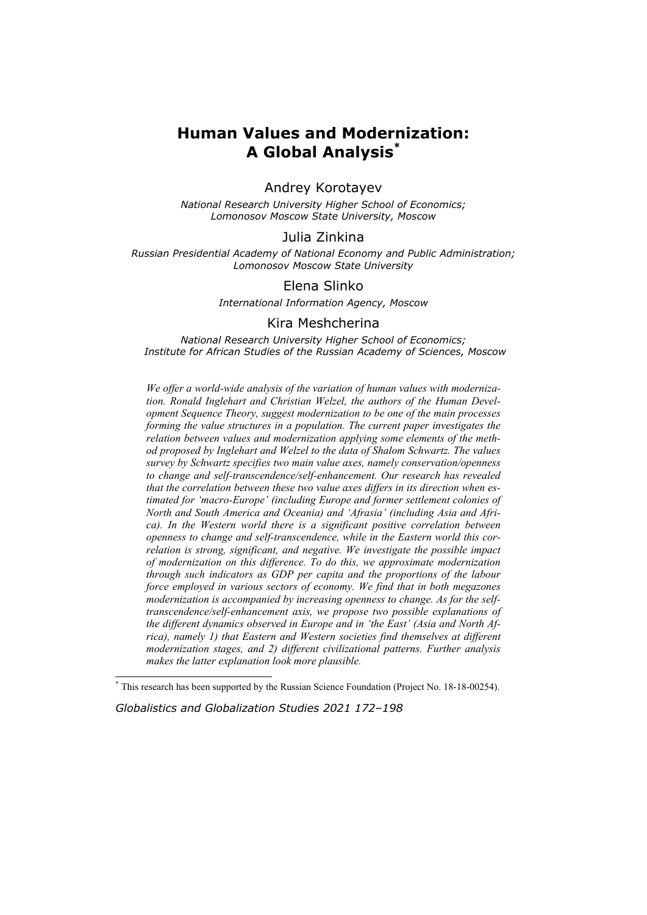# **Human Values and Modernization: A Global Analysis\***

# Andrey Korotayev

*National Research University Higher School of Economics; Lomonosov Moscow State University, Moscow* 

# Julia Zinkina

*Russian Presidential Academy of National Economy and Public Administration; Lomonosov Moscow State University* 

# Elena Slinko

*International Information Agency, Moscow* 

### Kira Meshcherina

*National Research University Higher School of Economics; Institute for African Studies of the Russian Academy of Sciences, Moscow* 

*We offer a world-wide analysis of the variation of human values with modernization. Ronald Inglehart and Christian Welzel, the authors of the Human Development Sequence Theory, suggest modernization to be one of the main processes forming the value structures in a population. The current paper investigates the relation between values and modernization applying some elements of the method proposed by Inglehart and Welzel to the data of Shalom Schwartz. The values survey by Schwartz specifies two main value axes, namely conservation/openness to change and self-transcendence/self-enhancement. Our research has revealed that the correlation between these two value axes differs in its direction when estimated for 'macro-Europe' (including Europe and former settlement colonies of North and South America and Oceania) and 'Afrasia' (including Asia and Africa). In the Western world there is a significant positive correlation between openness to change and self-transcendence, while in the Eastern world this correlation is strong, significant, and negative. We investigate the possible impact of modernization on this difference. To do this, we approximate modernization through such indicators as GDP per capita and the proportions of the labour force employed in various sectors of economy. We find that in both megazones modernization is accompanied by increasing openness to change. As for the selftranscendence/self-enhancement axis, we propose two possible explanations of the different dynamics observed in Europe and in 'the East' (Asia and North Africa), namely 1) that Eastern and Western societies find themselves at different modernization stages, and 2) different civilizational patterns. Further analysis makes the latter explanation look more plausible.* 

*Globalistics and Globalization Studies 2021 172–198*

 $\overline{\phantom{a}}$ 

<sup>\*</sup> This research has been supported by the Russian Science Foundation (Project No. 18-18-00254).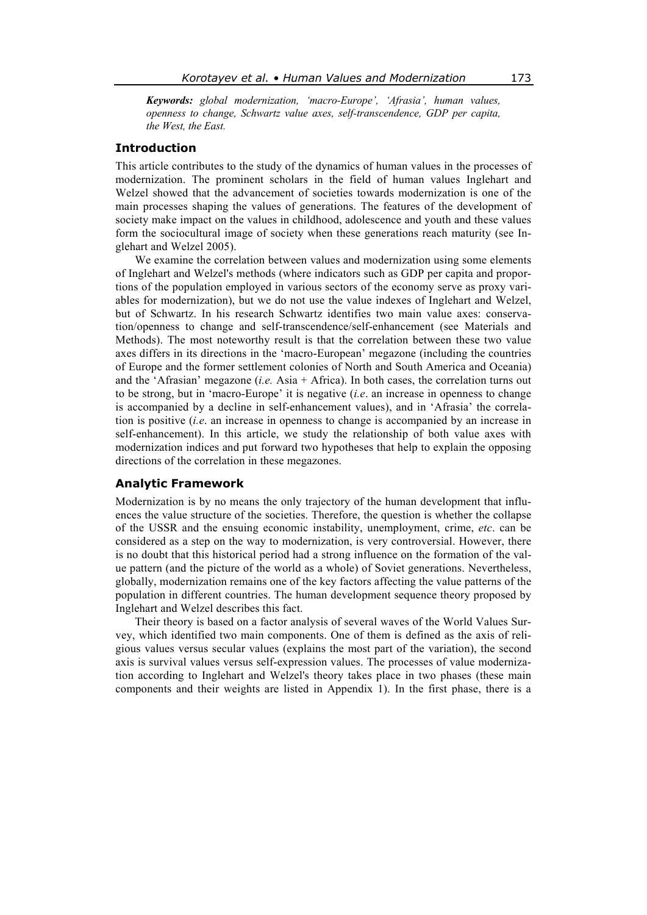*Keywords: global modernization, 'macro-Europe', 'Afrasia', human values, openness to change, Schwartz value axes, self-transcendence, GDP per capita, the West, the East.* 

# **Introduction**

This article contributes to the study of the dynamics of human values in the processes of modernization. The prominent scholars in the field of human values Inglehart and Welzel showed that the advancement of societies towards modernization is one of the main processes shaping the values of generations. The features of the development of society make impact on the values in childhood, adolescence and youth and these values form the sociocultural image of society when these generations reach maturity (see Inglehart and Welzel 2005).

We examine the correlation between values and modernization using some elements of Inglehart and Welzel's methods (where indicators such as GDP per capita and proportions of the population employed in various sectors of the economy serve as proxy variables for modernization), but we do not use the value indexes of Inglehart and Welzel, but of Schwartz. In his research Schwartz identifies two main value axes: conservation/openness to change and self-transcendence/self-enhancement (see Materials and Methods). The most noteworthy result is that the correlation between these two value axes differs in its directions in the 'macro-European' megazone (including the countries of Europe and the former settlement colonies of North and South America and Oceania) and the 'Afrasian' megazone (*i.e.* Asia + Africa). In both cases, the correlation turns out to be strong, but in 'macro-Europe' it is negative (*i.e*. an increase in openness to change is accompanied by a decline in self-enhancement values), and in 'Afrasia' the correlation is positive (*i.e*. an increase in openness to change is accompanied by an increase in self-enhancement). In this article, we study the relationship of both value axes with modernization indices and put forward two hypotheses that help to explain the opposing directions of the correlation in these megazones.

# **Analytic Framework**

Modernization is by no means the only trajectory of the human development that influences the value structure of the societies. Therefore, the question is whether the collapse of the USSR and the ensuing economic instability, unemployment, crime, *etc*. can be considered as a step on the way to modernization, is very controversial. However, there is no doubt that this historical period had a strong influence on the formation of the value pattern (and the picture of the world as a whole) of Soviet generations. Nevertheless, globally, modernization remains one of the key factors affecting the value patterns of the population in different countries. The human development sequence theory proposed by Inglehart and Welzel describes this fact.

Their theory is based on a factor analysis of several waves of the World Values Survey, which identified two main components. One of them is defined as the axis of religious values versus secular values (explains the most part of the variation), the second axis is survival values versus self-expression values. The processes of value modernization according to Inglehart and Welzel's theory takes place in two phases (these main components and their weights are listed in Appendix 1). In the first phase, there is a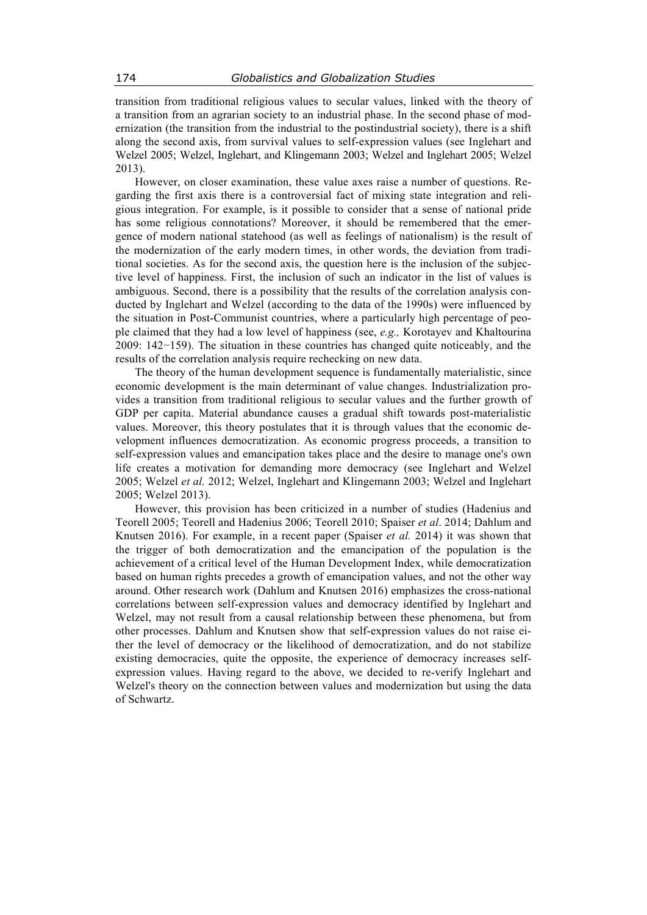transition from traditional religious values to secular values, linked with the theory of a transition from an agrarian society to an industrial phase. In the second phase of modernization (the transition from the industrial to the postindustrial society), there is a shift along the second axis, from survival values to self-expression values (see Inglehart and Welzel 2005; Welzel, Inglehart, and Klingemann 2003; Welzel and Inglehart 2005; Welzel 2013).

However, on closer examination, these value axes raise a number of questions. Regarding the first axis there is a controversial fact of mixing state integration and religious integration. For example, is it possible to consider that a sense of national pride has some religious connotations? Moreover, it should be remembered that the emergence of modern national statehood (as well as feelings of nationalism) is the result of the modernization of the early modern times, in other words, the deviation from traditional societies. As for the second axis, the question here is the inclusion of the subjective level of happiness. First, the inclusion of such an indicator in the list of values is ambiguous. Second, there is a possibility that the results of the correlation analysis conducted by Inglehart and Welzel (according to the data of the 1990s) were influenced by the situation in Post-Communist countries, where a particularly high percentage of people claimed that they had a low level of happiness (see, *e.g.,* Korotayev and Khaltourina 2009: 142−159). The situation in these countries has changed quite noticeably, and the results of the correlation analysis require rechecking on new data.

The theory of the human development sequence is fundamentally materialistic, since economic development is the main determinant of value changes. Industrialization provides a transition from traditional religious to secular values and the further growth of GDP per capita. Material abundance causes a gradual shift towards post-materialistic values. Moreover, this theory postulates that it is through values that the economic development influences democratization. As economic progress proceeds, a transition to self-expression values and emancipation takes place and the desire to manage one's own life creates a motivation for demanding more democracy (see Inglehart and Welzel 2005; Welzel *et al.* 2012; Welzel, Inglehart and Klingemann 2003; Welzel and Inglehart 2005; Welzel 2013).

However, this provision has been criticized in a number of studies (Hadenius and Teorell 2005; Teorell and Hadenius 2006; Teorell 2010; Spaiser *et al*. 2014; Dahlum and Knutsen 2016). For example, in a recent paper (Spaiser *et al.* 2014) it was shown that the trigger of both democratization and the emancipation of the population is the achievement of a critical level of the Human Development Index, while democratization based on human rights precedes a growth of emancipation values, and not the other way around. Other research work (Dahlum and Knutsen 2016) emphasizes the cross-national correlations between self-expression values and democracy identified by Inglehart and Welzel, may not result from a causal relationship between these phenomena, but from other processes. Dahlum and Knutsen show that self-expression values do not raise either the level of democracy or the likelihood of democratization, and do not stabilize existing democracies, quite the opposite, the experience of democracy increases selfexpression values. Having regard to the above, we decided to re-verify Inglehart and Welzel's theory on the connection between values and modernization but using the data of Schwartz.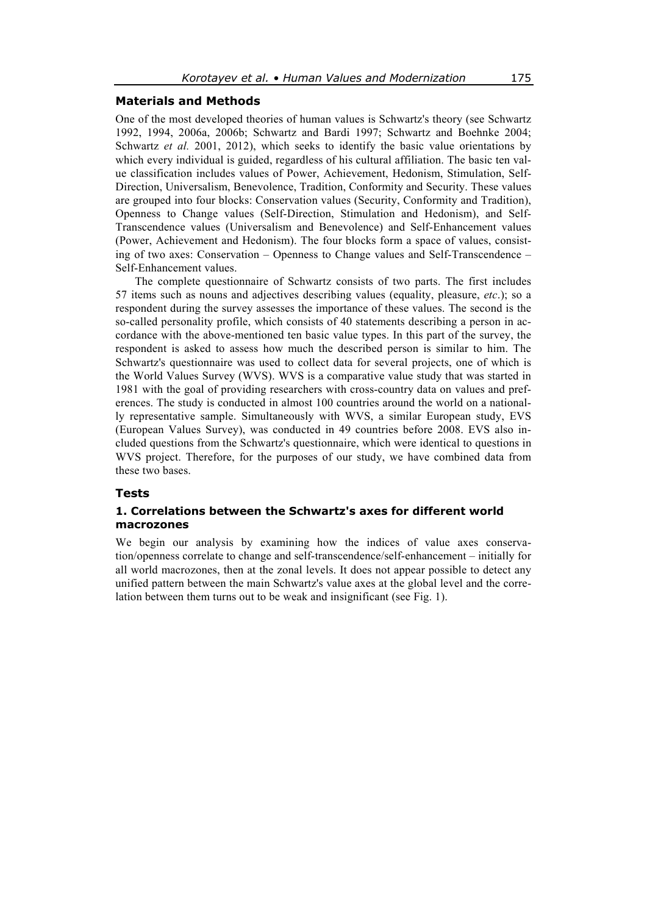# **Materials and Methods**

One of the most developed theories of human values is Schwartz's theory (see Schwartz 1992, 1994, 2006a, 2006b; Schwartz and Bardi 1997; Schwartz and Boehnke 2004; Schwartz *et al.* 2001, 2012), which seeks to identify the basic value orientations by which every individual is guided, regardless of his cultural affiliation. The basic ten value classification includes values of Power, Achievement, Hedonism, Stimulation, Self-Direction, Universalism, Benevolence, Tradition, Conformity and Security. These values are grouped into four blocks: Conservation values (Security, Conformity and Tradition), Openness to Change values (Self-Direction, Stimulation and Hedonism), and Self-Transcendence values (Universalism and Benevolence) and Self-Enhancement values (Power, Achievement and Hedonism). The four blocks form a space of values, consisting of two axes: Conservation – Openness to Change values and Self-Transcendence – Self-Enhancement values.

The complete questionnaire of Schwartz consists of two parts. The first includes 57 items such as nouns and adjectives describing values (equality, pleasure, *etc*.); so a respondent during the survey assesses the importance of these values. The second is the so-called personality profile, which consists of 40 statements describing a person in accordance with the above-mentioned ten basic value types. In this part of the survey, the respondent is asked to assess how much the described person is similar to him. The Schwartz's questionnaire was used to collect data for several projects, one of which is the World Values Survey (WVS). WVS is a comparative value study that was started in 1981 with the goal of providing researchers with cross-country data on values and preferences. The study is conducted in almost 100 countries around the world on a nationally representative sample. Simultaneously with WVS, a similar European study, EVS (European Values Survey), was conducted in 49 countries before 2008. EVS also included questions from the Schwartz's questionnaire, which were identical to questions in WVS project. Therefore, for the purposes of our study, we have combined data from these two bases.

#### **Tests**

# **1. Correlations between the Schwartz's axes for different world macrozones**

We begin our analysis by examining how the indices of value axes conservation/openness correlate to change and self-transcendence/self-enhancement – initially for all world macrozones, then at the zonal levels. It does not appear possible to detect any unified pattern between the main Schwartz's value axes at the global level and the correlation between them turns out to be weak and insignificant (see Fig. 1).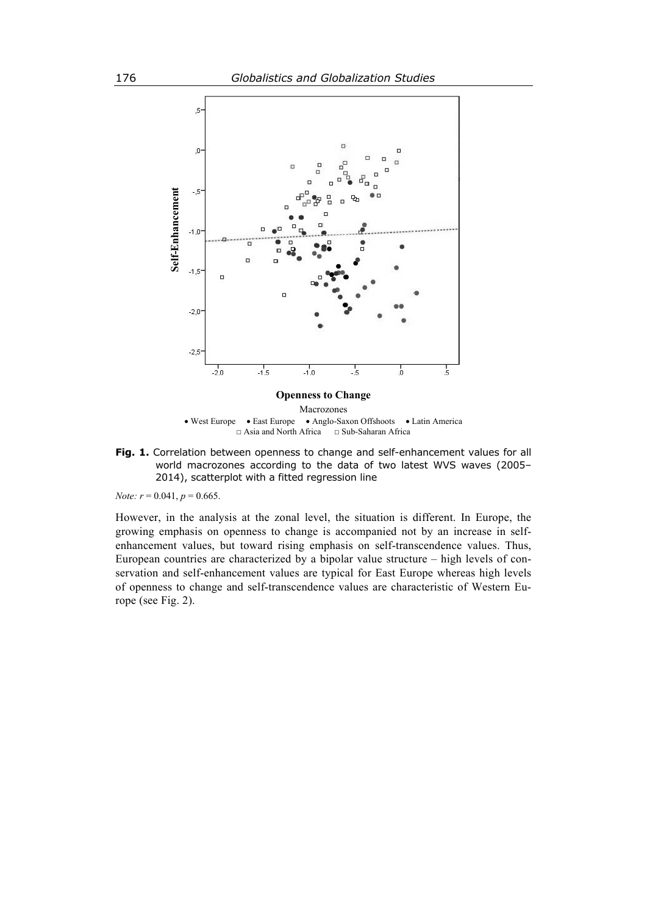

Macrozones West Europe East Europe Anglo-Saxon Offshoots Latin America □ Asia and North Africa □ Sub-Saharan Africa

**Fig. 1.** Correlation between openness to change and self-enhancement values for all world macrozones according to the data of two latest WVS waves (2005– 2014), scatterplot with a fitted regression line

*Note:*  $r = 0.041$ ,  $p = 0.665$ .

However, in the analysis at the zonal level, the situation is different. In Europe, the growing emphasis on openness to change is accompanied not by an increase in selfenhancement values, but toward rising emphasis on self-transcendence values. Thus, European countries are characterized by a bipolar value structure – high levels of conservation and self-enhancement values are typical for East Europe whereas high levels of openness to change and self-transcendence values are characteristic of Western Europe (see Fig.  $2$ ).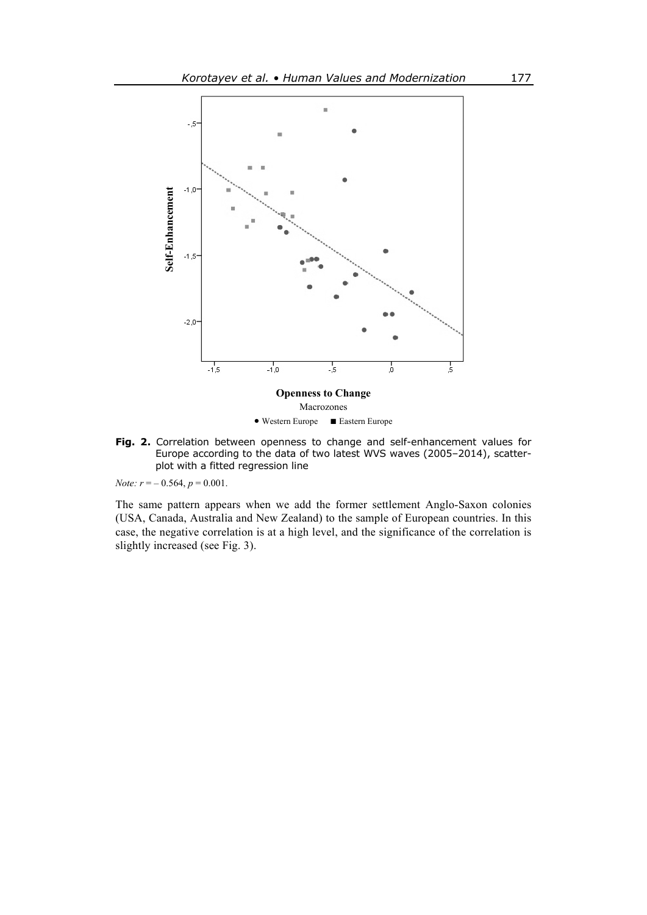

**Fig. 2.** Correlation between openness to change and self-enhancement values for Europe according to the data of two latest WVS waves (2005–2014), scatterplot with a fitted regression line

*Note:*  $r = -0.564$ ,  $p = 0.001$ .

The same pattern appears when we add the former settlement Anglo-Saxon colonies (USA, Canada, Australia and New Zealand) to the sample of European countries. In this case, the negative correlation is at a high level, and the significance of the correlation is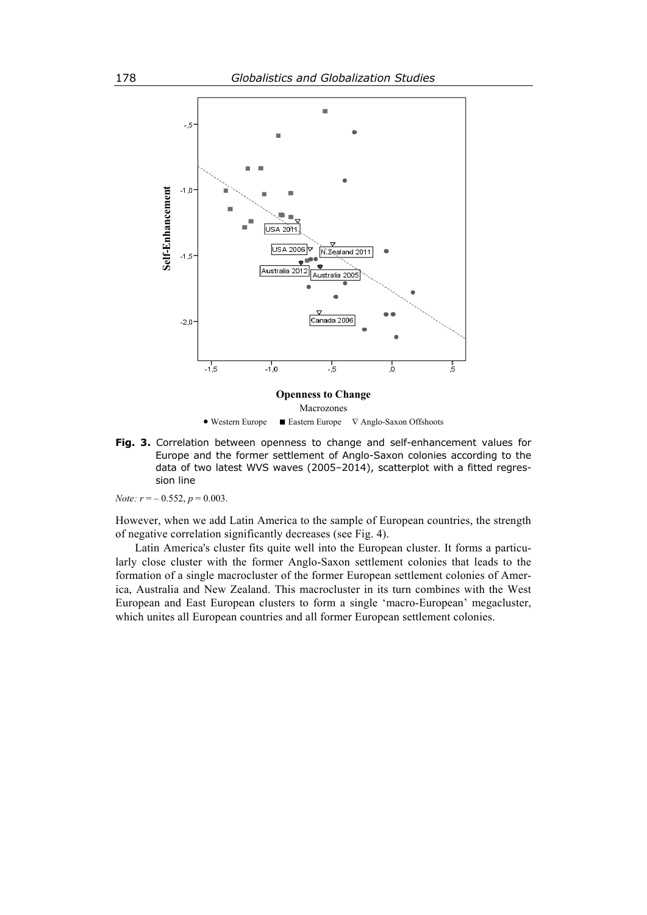

**Fig. 3.** Correlation between openness to change and self-enhancement values for Europe and the former settlement of Anglo-Saxon colonies according to the data of two latest WVS waves (2005–2014), scatterplot with a fitted regression line

*Note:*  $r = -0.552$ ,  $p = 0.003$ .

However, when we add Latin America to the sample of European countries, the strength of negative correlation significantly decreases (see Fig. 4).

Latin America's cluster fits quite well into the European cluster. It forms a particularly close cluster with the former Anglo-Saxon settlement colonies that leads to the formation of a single macrocluster of the former European settlement colonies of America, Australia and New Zealand. This macrocluster in its turn combines with the West European and East European clusters to form a single 'macro-European' megacluster,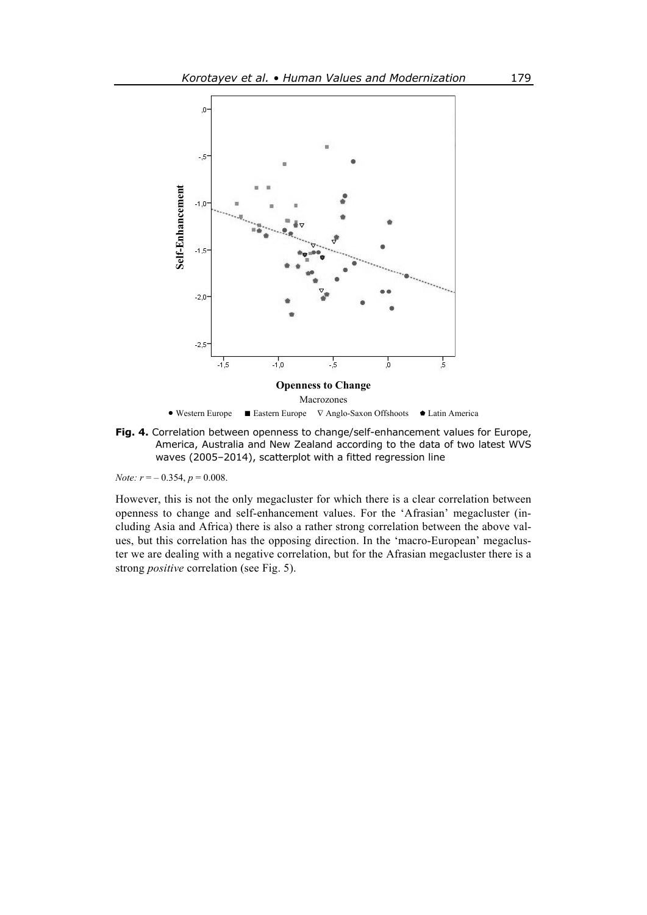

**Fig. 4.** Correlation between openness to change/self-enhancement values for Europe, America, Australia and New Zealand according to the data of two latest WVS waves (2005–2014), scatterplot with a fitted regression line

*Note:*  $r = -0.354$ ,  $p = 0.008$ .

However, this is not the only megacluster for which there is a clear correlation between openness to change and self-enhancement values. For the 'Afrasian' megacluster (including Asia and Africa) there is also a rather strong correlation between the above values, but this correlation has the opposing direction. In the 'macro-European' megacluster we are dealing with a negative correlation, but for the Afrasian megacluster there is a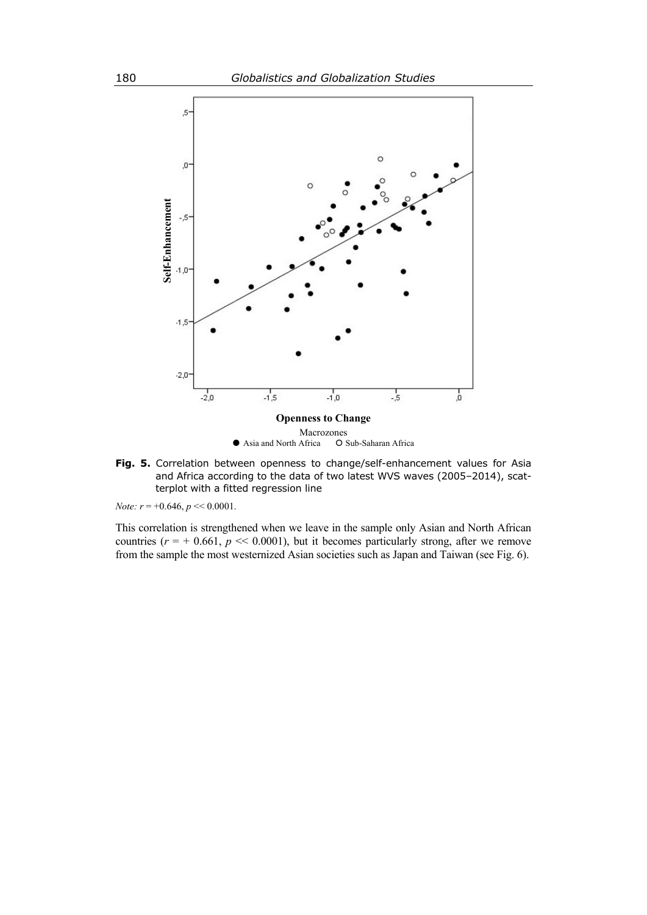

**Fig. 5.** Correlation between openness to change/self-enhancement values for Asia and Africa according to the data of two latest WVS waves (2005–2014), scatterplot with a fitted regression line

*Note:*  $r = +0.646$ ,  $p \ll 0.0001$ .

This correlation is strengthened when we leave in the sample only Asian and North African countries  $(r = +0.661, p \ll 0.0001)$ , but it becomes particularly strong, after we remove from the sample the most westernized Asian societies such as Japan and Taiwan (see Fig. 6).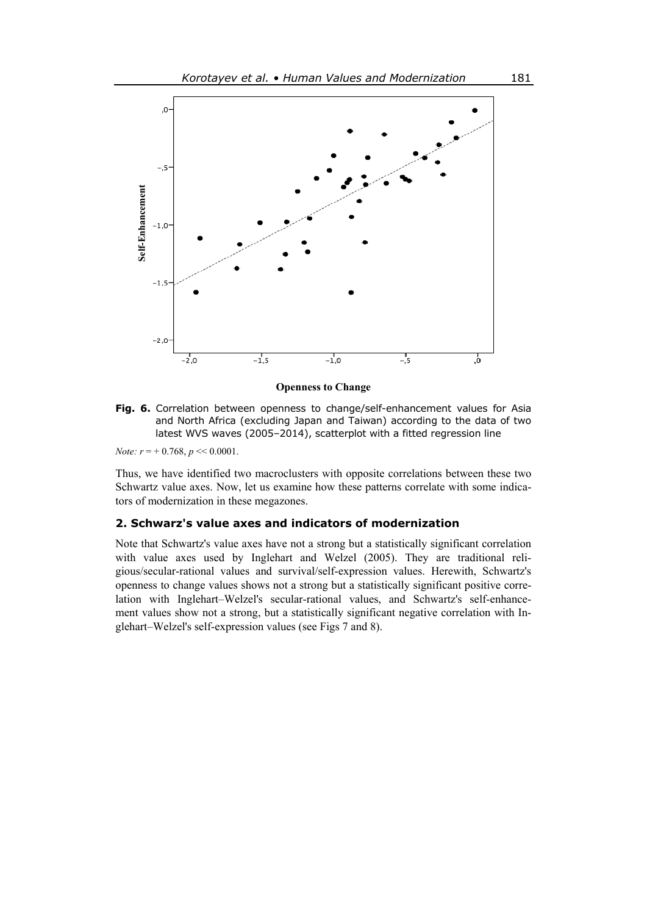

**Openness to Change** 

**Fig. 6.** Correlation between openness to change/self-enhancement values for Asia and North Africa (excluding Japan and Taiwan) according to the data of two latest WVS waves (2005–2014), scatterplot with a fitted regression line

*Note:*  $r = +0.768$ ,  $p \ll 0.0001$ .

Thus, we have identified two macroclusters with opposite correlations between these two Schwartz value axes. Now, let us examine how these patterns correlate with some indicators of modernization in these megazones.

# **2. Schwarz's value axes and indicators of modernization**

Note that Schwartz's value axes have not a strong but a statistically significant correlation with value axes used by Inglehart and Welzel (2005). They are traditional religious/secular-rational values and survival/self-expression values. Herewith, Schwartz's openness to change values shows not a strong but a statistically significant positive correlation with Inglehart–Welzel's secular-rational values, and Schwartz's self-enhancement values show not a strong, but a statistically significant negative correlation with In-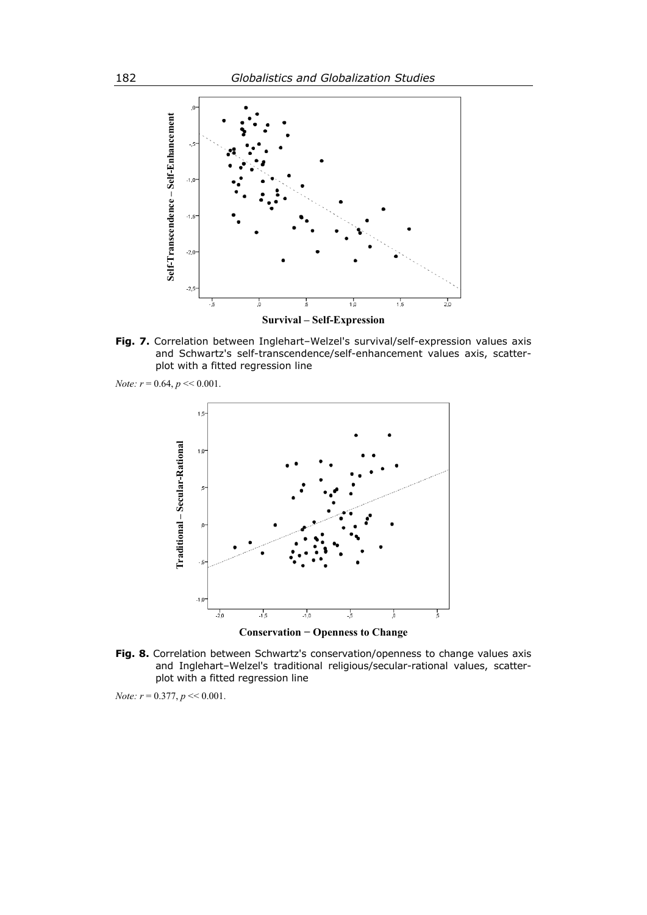

Fig. 7. Correlation between Inglehart-Welzel's survival/self-expression values axis and Schwartz's self-transcendence/self-enhancement values axis, scatterplot with a fitted regression line

*Note: r* = 0.64, *p* << 0.001.



**Fig. 8.** Correlation between Schwartz's conservation/openness to change values axis and Inglehart–Welzel's traditional religious/secular-rational values, scatterplot with a fitted regression line

*Note:*  $r = 0.377$ ,  $p \ll 0.001$ .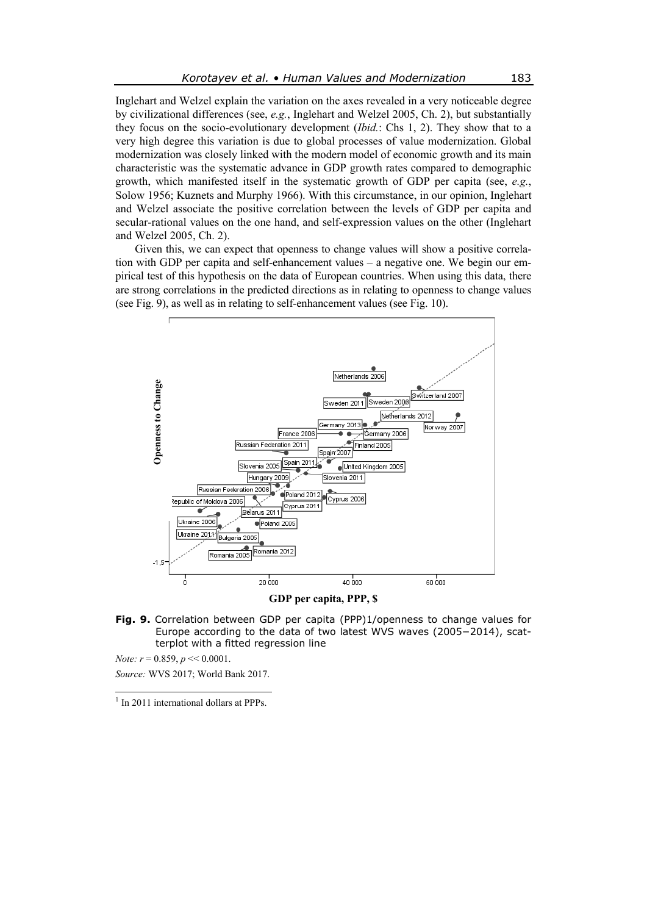Inglehart and Welzel explain the variation on the axes revealed in a very noticeable degree by civilizational differences (see, *e.g.*, Inglehart and Welzel 2005, Ch. 2), but substantially they focus on the socio-evolutionary development (*Ibid.*: Chs 1, 2). They show that to a very high degree this variation is due to global processes of value modernization. Global modernization was closely linked with the modern model of economic growth and its main characteristic was the systematic advance in GDP growth rates compared to demographic growth, which manifested itself in the systematic growth of GDP per capita (see, *e.g.*, Solow 1956; Kuznets and Murphy 1966). With this circumstance, in our opinion, Inglehart and Welzel associate the positive correlation between the levels of GDP per capita and secular-rational values on the one hand, and self-expression values on the other (Inglehart and Welzel 2005, Ch. 2).

Given this, we can expect that openness to change values will show a positive correlation with GDP per capita and self-enhancement values – a negative one. We begin our empirical test of this hypothesis on the data of European countries. When using this data, there are strong correlations in the predicted directions as in relating to openness to change values (see Fig. 9), as well as in relating to self-enhancement values (see Fig. 10).



**GDP per capita, PPP, \$** 

**Fig. 9.** Correlation between GDP per capita (PPP)1/openness to change values for Europe according to the data of two latest WVS waves (2005−2014), scatterplot with a fitted regression line

*Note: r* = 0.859, *p* << 0.0001. *Source:* WVS 2017; World Bank 2017.

 $\frac{1}{1}$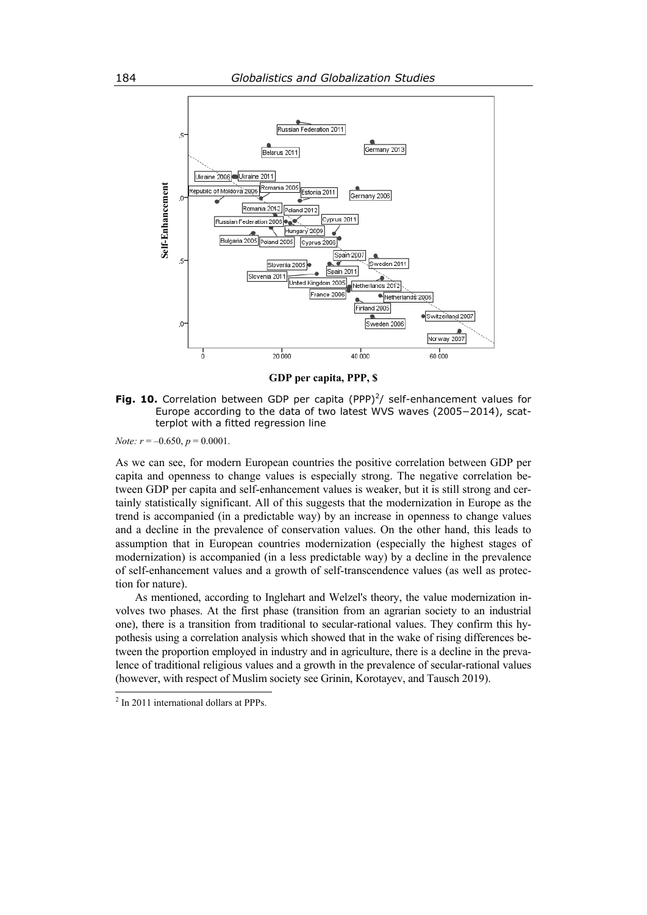

**GDP per capita, PPP, \$** 

**Fig. 10.** Correlation between GDP per capita  $(PPP)^2/$  self-enhancement values for Europe according to the data of two latest WVS waves (2005−2014), scatterplot with a fitted regression line

*Note:*  $r = -0.650$ ,  $p = 0.0001$ .

As we can see, for modern European countries the positive correlation between GDP per capita and openness to change values is especially strong. The negative correlation between GDP per capita and self-enhancement values is weaker, but it is still strong and certainly statistically significant. All of this suggests that the modernization in Europe as the trend is accompanied (in a predictable way) by an increase in openness to change values and a decline in the prevalence of conservation values. On the other hand, this leads to assumption that in European countries modernization (especially the highest stages of modernization) is accompanied (in a less predictable way) by a decline in the prevalence of self-enhancement values and a growth of self-transcendence values (as well as protection for nature).

As mentioned, according to Inglehart and Welzel's theory, the value modernization involves two phases. At the first phase (transition from an agrarian society to an industrial one), there is a transition from traditional to secular-rational values. They confirm this hypothesis using a correlation analysis which showed that in the wake of rising differences between the proportion employed in industry and in agriculture, there is a decline in the prevalence of traditional religious values and a growth in the prevalence of secular-rational values (however, with respect of Muslim society see Grinin, Korotayev, and Tausch 2019).

 $\frac{1}{2}$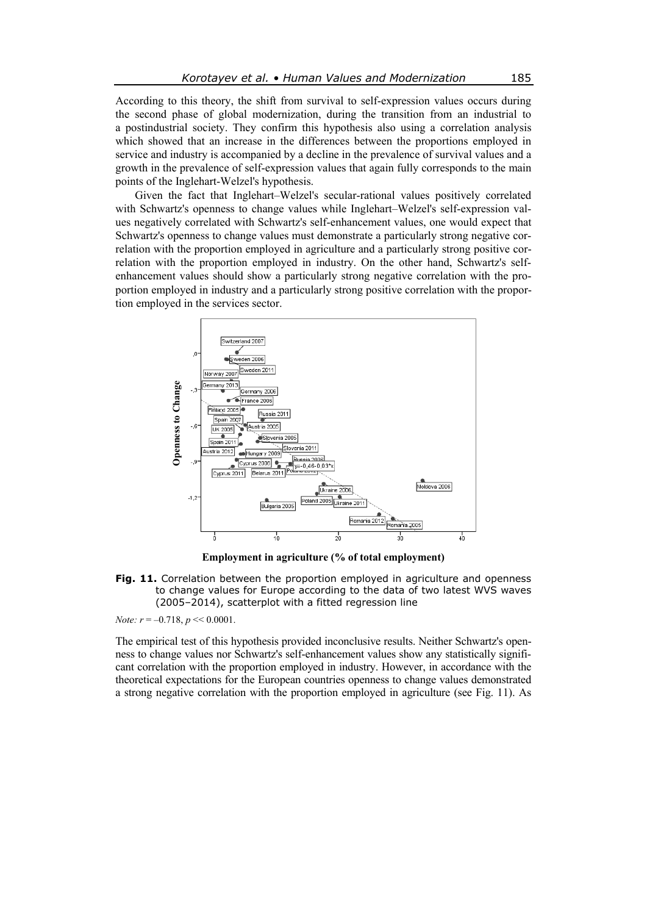According to this theory, the shift from survival to self-expression values occurs during the second phase of global modernization, during the transition from an industrial to a postindustrial society. They confirm this hypothesis also using a correlation analysis which showed that an increase in the differences between the proportions employed in service and industry is accompanied by a decline in the prevalence of survival values and a growth in the prevalence of self-expression values that again fully corresponds to the main points of the Inglehart-Welzel's hypothesis.

Given the fact that Inglehart–Welzel's secular-rational values positively correlated with Schwartz's openness to change values while Inglehart–Welzel's self-expression values negatively correlated with Schwartz's self-enhancement values, one would expect that Schwartz's openness to change values must demonstrate a particularly strong negative correlation with the proportion employed in agriculture and a particularly strong positive correlation with the proportion employed in industry. On the other hand, Schwartz's selfenhancement values should show a particularly strong negative correlation with the proportion employed in industry and a particularly strong positive correlation with the proportion employed in the services sector.



**Employment in agriculture (% of total employment)** 

**Fig. 11.** Correlation between the proportion employed in agriculture and openness to change values for Europe according to the data of two latest WVS waves (2005–2014), scatterplot with a fitted regression line

*Note:*  $r = -0.718$ ,  $p \ll 0.0001$ .

The empirical test of this hypothesis provided inconclusive results. Neither Schwartz's openness to change values nor Schwartz's self-enhancement values show any statistically significant correlation with the proportion employed in industry. However, in accordance with the theoretical expectations for the European countries openness to change values demonstrated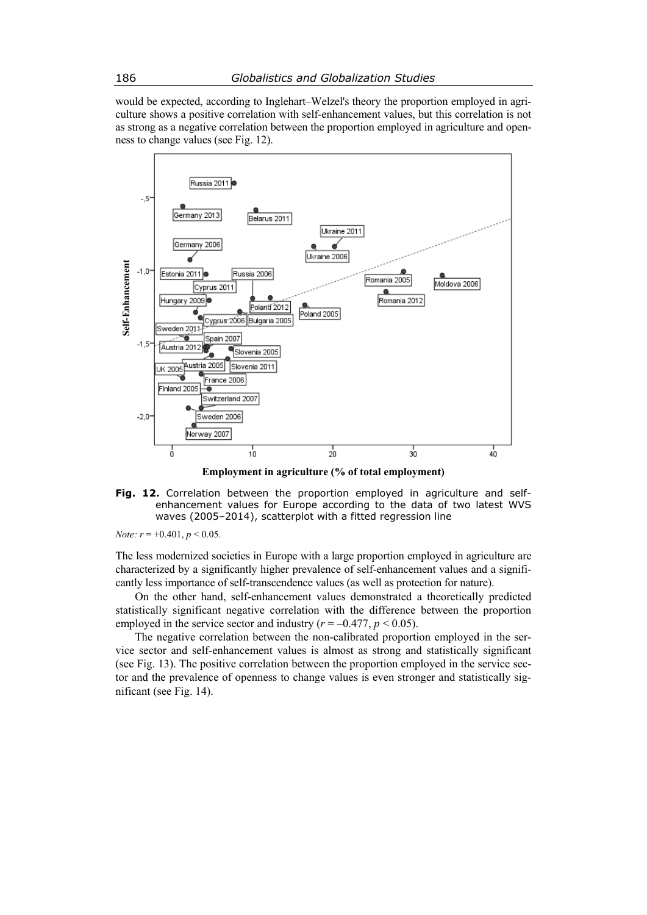would be expected, according to Inglehart–Welzel's theory the proportion employed in agriculture shows a positive correlation with self-enhancement values, but this correlation is not as strong as a negative correlation between the proportion employed in agriculture and openness to change values (see Fig. 12).

![](_page_14_Figure_2.jpeg)

**Employment in agriculture (% of total employment)** 

**Fig. 12.** Correlation between the proportion employed in agriculture and selfenhancement values for Europe according to the data of two latest WVS waves (2005–2014), scatterplot with a fitted regression line

*Note:*  $r = +0.401$ ,  $p < 0.05$ .

The less modernized societies in Europe with a large proportion employed in agriculture are characterized by a significantly higher prevalence of self-enhancement values and a significantly less importance of self-transcendence values (as well as protection for nature).

On the other hand, self-enhancement values demonstrated a theoretically predicted statistically significant negative correlation with the difference between the proportion employed in the service sector and industry ( $r = -0.477$ ,  $p \le 0.05$ ).

The negative correlation between the non-calibrated proportion employed in the service sector and self-enhancement values is almost as strong and statistically significant (see Fig. 13). The positive correlation between the proportion employed in the service sector and the prevalence of openness to change values is even stronger and statistically sig-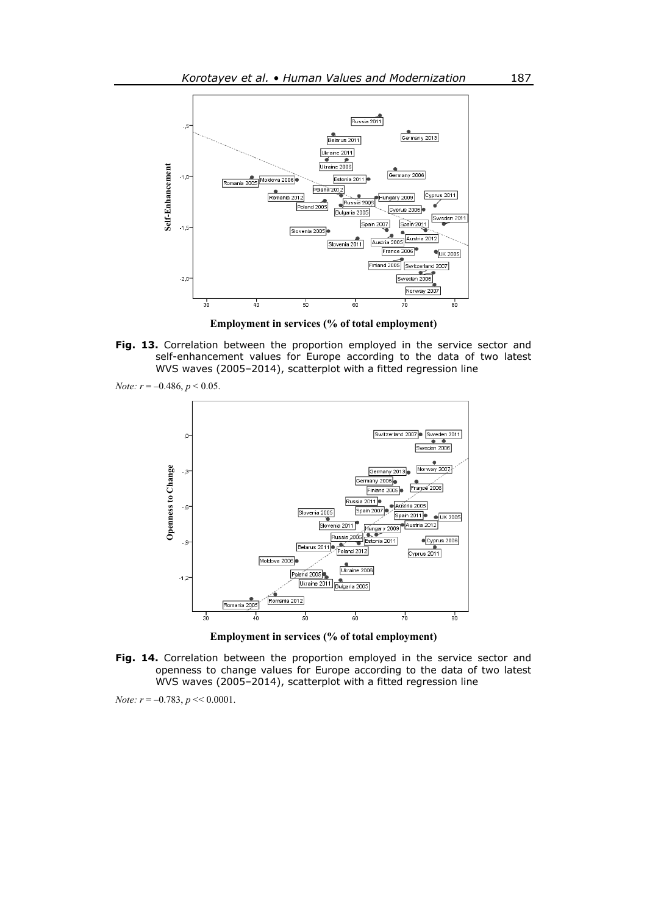![](_page_15_Figure_1.jpeg)

**Employment in services (% of total employment)** 

Fig. 13. Correlation between the proportion employed in the service sector and self-enhancement values for Europe according to the data of two latest WVS waves (2005–2014), scatterplot with a fitted regression line

![](_page_15_Figure_4.jpeg)

![](_page_15_Figure_5.jpeg)

**Employment in services (% of total employment)** 

**Fig. 14.** Correlation between the proportion employed in the service sector and openness to change values for Europe according to the data of two latest WVS waves (2005–2014), scatterplot with a fitted regression line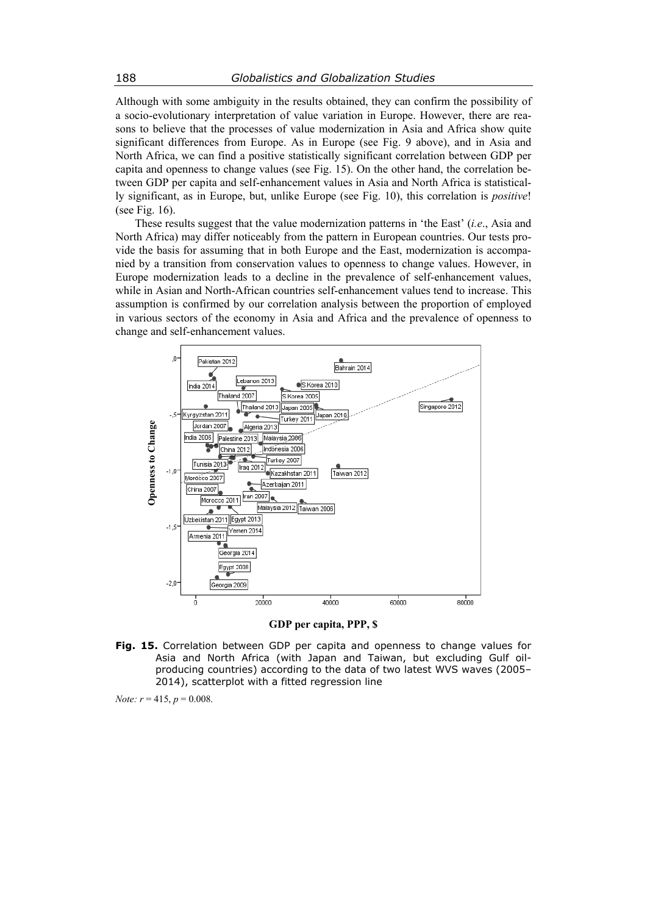Although with some ambiguity in the results obtained, they can confirm the possibility of a socio-evolutionary interpretation of value variation in Europe. However, there are reasons to believe that the processes of value modernization in Asia and Africa show quite significant differences from Europe. As in Europe (see Fig. 9 above), and in Asia and North Africa, we can find a positive statistically significant correlation between GDP per capita and openness to change values (see Fig. 15). On the other hand, the correlation between GDP per capita and self-enhancement values in Asia and North Africa is statistically significant, as in Europe, but, unlike Europe (see Fig. 10), this correlation is *positive*! (see Fig. 16).

These results suggest that the value modernization patterns in 'the East' (*i.e*., Asia and North Africa) may differ noticeably from the pattern in European countries. Our tests provide the basis for assuming that in both Europe and the East, modernization is accompanied by a transition from conservation values to openness to change values. However, in Europe modernization leads to a decline in the prevalence of self-enhancement values, while in Asian and North-African countries self-enhancement values tend to increase. This assumption is confirmed by our correlation analysis between the proportion of employed in various sectors of the economy in Asia and Africa and the prevalence of openness to change and self-enhancement values.

![](_page_16_Figure_3.jpeg)

**GDP per capita, PPP, \$** 

**Fig. 15.** Correlation between GDP per capita and openness to change values for Asia and North Africa (with Japan and Taiwan, but excluding Gulf oilproducing countries) according to the data of two latest WVS waves (2005– 2014), scatterplot with a fitted regression line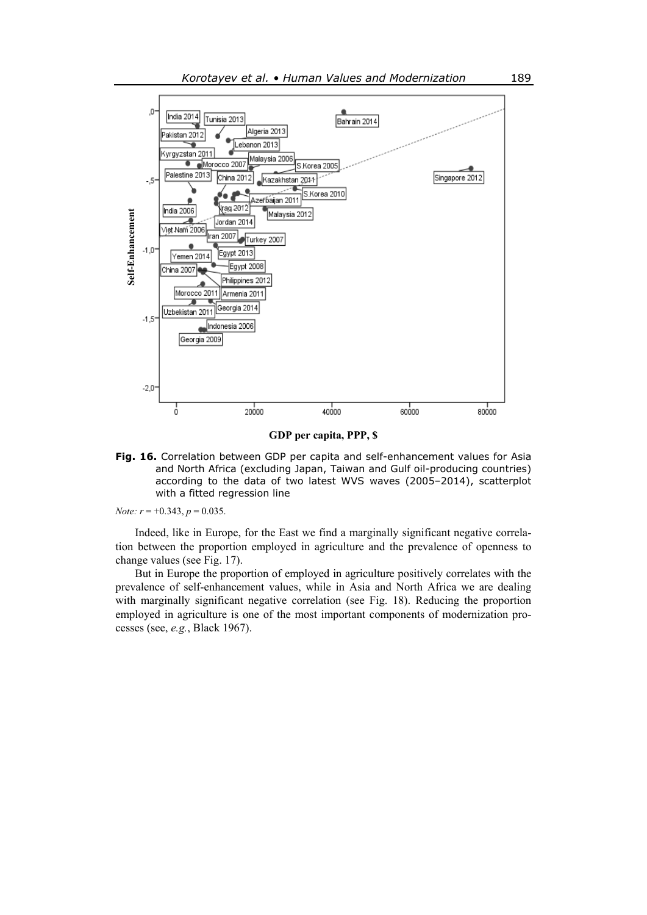![](_page_17_Figure_1.jpeg)

**GDP per capita, PPP, \$** 

**Fig. 16.** Correlation between GDP per capita and self-enhancement values for Asia and North Africa (excluding Japan, Taiwan and Gulf oil-producing countries) according to the data of two latest WVS waves (2005–2014), scatterplot with a fitted regression line

*Note: r* = +0.343, *p* = 0.035.

Indeed, like in Europe, for the East we find a marginally significant negative correlation between the proportion employed in agriculture and the prevalence of openness to change values (see Fig. 17).

But in Europe the proportion of employed in agriculture positively correlates with the prevalence of self-enhancement values, while in Asia and North Africa we are dealing with marginally significant negative correlation (see Fig. 18). Reducing the proportion employed in agriculture is one of the most important components of modernization pro-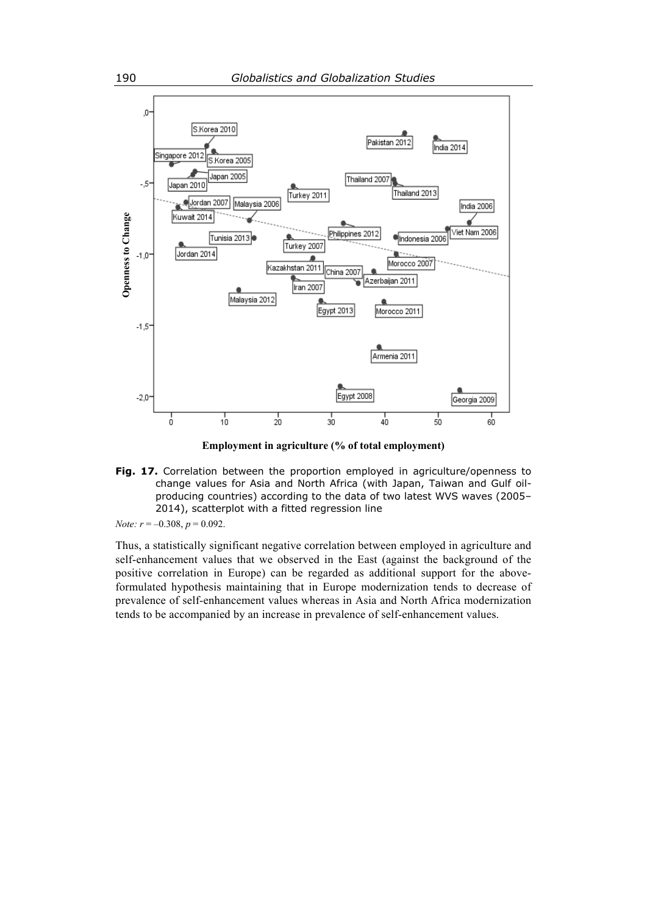![](_page_18_Figure_1.jpeg)

**Employment in agriculture (% of total employment)** 

**Fig. 17.** Correlation between the proportion employed in agriculture/openness to change values for Asia and North Africa (with Japan, Taiwan and Gulf oilproducing countries) according to the data of two latest WVS waves (2005– 2014), scatterplot with a fitted regression line

*Note: r* = –0.308, *p* = 0.092.

Thus, a statistically significant negative correlation between employed in agriculture and self-enhancement values that we observed in the East (against the background of the positive correlation in Europe) can be regarded as additional support for the aboveformulated hypothesis maintaining that in Europe modernization tends to decrease of prevalence of self-enhancement values whereas in Asia and North Africa modernization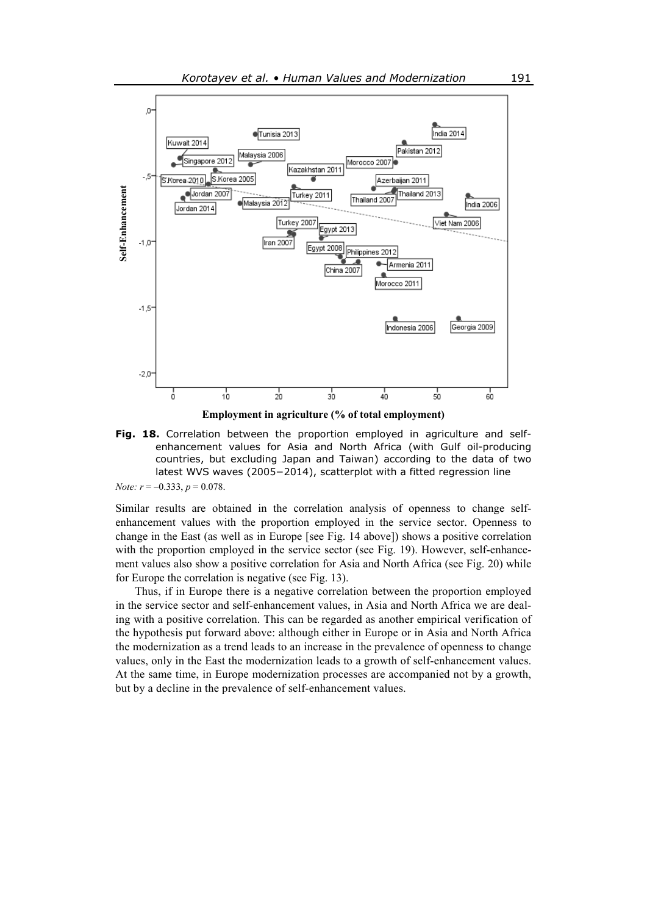![](_page_19_Figure_1.jpeg)

**Fig. 18.** Correlation between the proportion employed in agriculture and selfenhancement values for Asia and North Africa (with Gulf oil-producing countries, but excluding Japan and Taiwan) according to the data of two latest WVS waves (2005−2014), scatterplot with a fitted regression line

*Note: r* = –0.333, *p* = 0.078.

Similar results are obtained in the correlation analysis of openness to change selfenhancement values with the proportion employed in the service sector. Openness to change in the East (as well as in Europe [see Fig. 14 above]) shows a positive correlation with the proportion employed in the service sector (see Fig. 19). However, self-enhancement values also show a positive correlation for Asia and North Africa (see Fig. 20) while for Europe the correlation is negative (see Fig. 13).

Thus, if in Europe there is a negative correlation between the proportion employed in the service sector and self-enhancement values, in Asia and North Africa we are dealing with a positive correlation. This can be regarded as another empirical verification of the hypothesis put forward above: although either in Europe or in Asia and North Africa the modernization as a trend leads to an increase in the prevalence of openness to change values, only in the East the modernization leads to a growth of self-enhancement values. At the same time, in Europe modernization processes are accompanied not by a growth,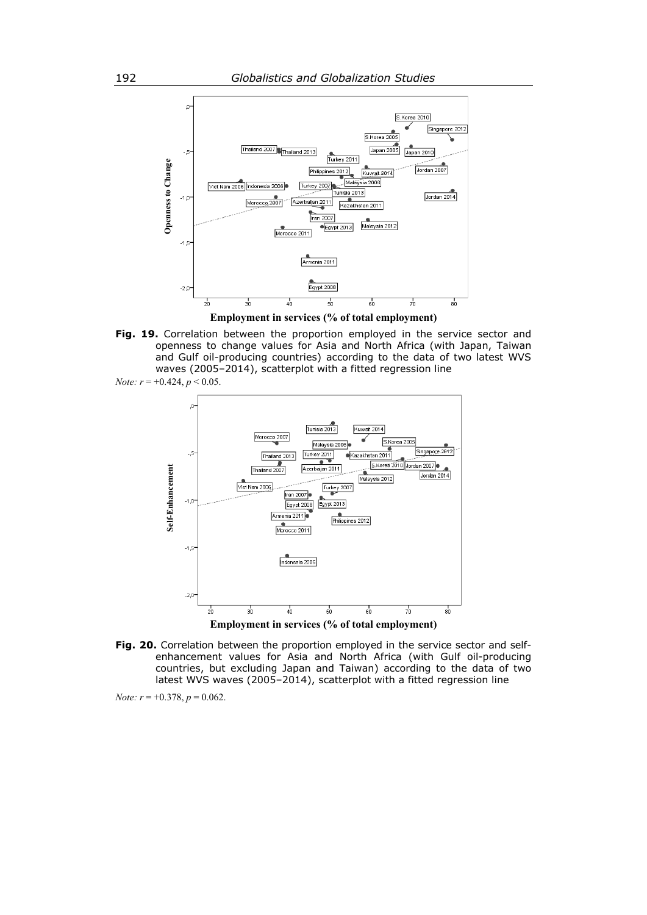![](_page_20_Figure_1.jpeg)

**Employment in services (% of total employment)** 

**Fig. 19.** Correlation between the proportion employed in the service sector and openness to change values for Asia and North Africa (with Japan, Taiwan and Gulf oil-producing countries) according to the data of two latest WVS waves (2005–2014), scatterplot with a fitted regression line

![](_page_20_Figure_4.jpeg)

![](_page_20_Figure_5.jpeg)

**Fig. 20.** Correlation between the proportion employed in the service sector and selfenhancement values for Asia and North Africa (with Gulf oil-producing countries, but excluding Japan and Taiwan) according to the data of two latest WVS waves (2005–2014), scatterplot with a fitted regression line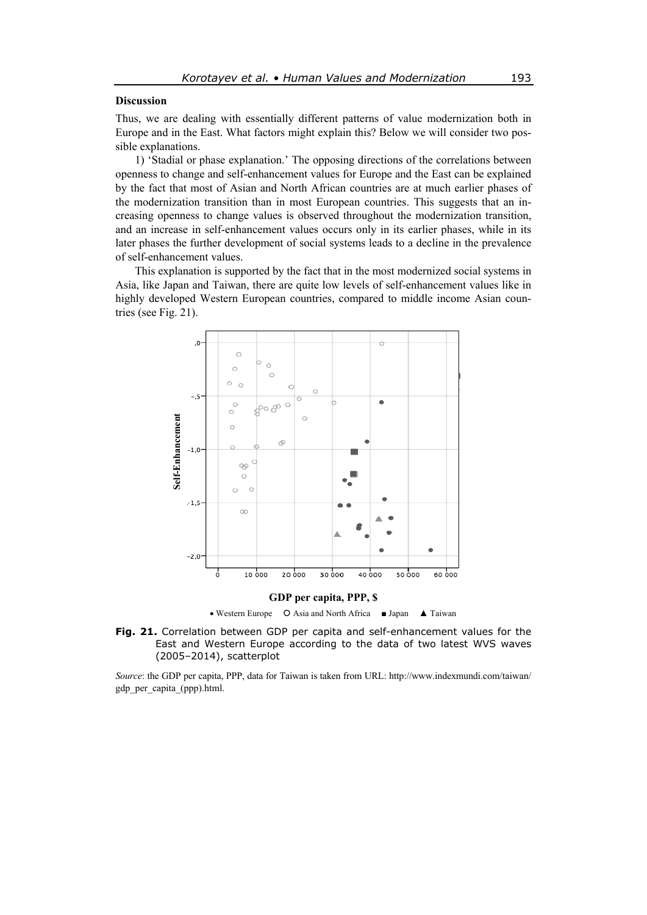#### **Discussion**

Thus, we are dealing with essentially different patterns of value modernization both in Europe and in the East. What factors might explain this? Below we will consider two possible explanations.

1) 'Stadial or phase explanation.' The opposing directions of the correlations between openness to change and self-enhancement values for Europe and the East can be explained by the fact that most of Asian and North African countries are at much earlier phases of the modernization transition than in most European countries. This suggests that an increasing openness to change values is observed throughout the modernization transition, and an increase in self-enhancement values occurs only in its earlier phases, while in its later phases the further development of social systems leads to a decline in the prevalence of self-enhancement values.

This explanation is supported by the fact that in the most modernized social systems in Asia, like Japan and Taiwan, there are quite low levels of self-enhancement values like in highly developed Western European countries, compared to middle income Asian countries (see Fig. 21).

![](_page_21_Figure_5.jpeg)

Western Europe Asia and North Africa ■ Japan ▲ Taiwan

![](_page_21_Figure_7.jpeg)

*Source*: the GDP per capita, PPP, data for Taiwan is taken from URL: http://www.indexmundi.com/taiwan/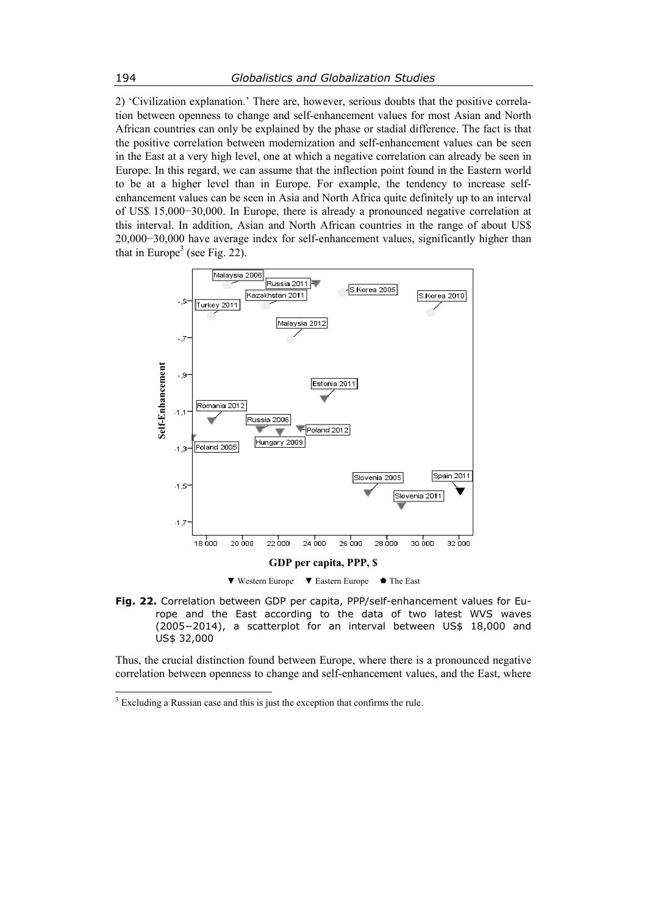2) 'Civilization explanation.' There are, however, serious doubts that the positive correlation between openness to change and self-enhancement values for most Asian and North African countries can only be explained by the phase or stadial difference. The fact is that the positive correlation between modernization and self-enhancement values can be seen in the East at a very high level, one at which a negative correlation can already be seen in Europe. In this regard, we can assume that the inflection point found in the Eastern world to be at a higher level than in Europe. For example, the tendency to increase selfenhancement values can be seen in Asia and North Africa quite definitely up to an interval of US\$ 15,000−30,000. In Europe, there is already a pronounced negative correlation at this interval. In addition, Asian and North African countries in the range of about US\$ 20,000−30,000 have average index for self-enhancement values, significantly higher than that in Europe<sup>3</sup> (see Fig. 22).

![](_page_22_Figure_2.jpeg)

**Fig. 22.** Correlation between GDP per capita, PPP/self-enhancement values for Europe and the East according to the data of two latest WVS waves (2005−2014), a scatterplot for an interval between US\$ 18,000 and US\$ 32,000

Thus, the crucial distinction found between Europe, where there is a pronounced negative correlation between openness to change and self-enhancement values, and the East, where

 3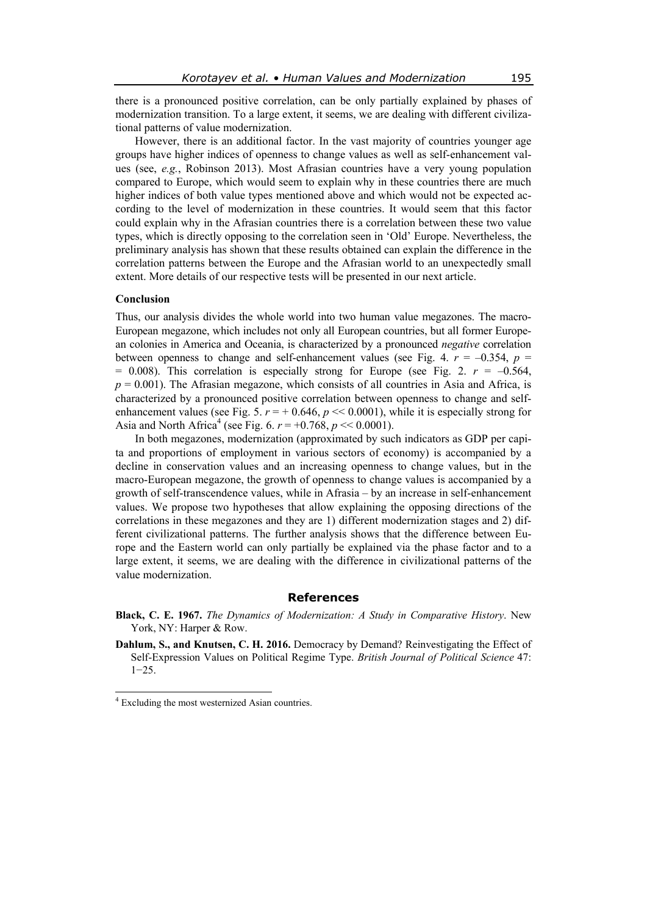there is a pronounced positive correlation, can be only partially explained by phases of modernization transition. To a large extent, it seems, we are dealing with different civilizational patterns of value modernization.

However, there is an additional factor. In the vast majority of countries younger age groups have higher indices of openness to change values as well as self-enhancement values (see, *e.g.*, Robinson 2013). Most Afrasian countries have a very young population compared to Europe, which would seem to explain why in these countries there are much higher indices of both value types mentioned above and which would not be expected according to the level of modernization in these countries. It would seem that this factor could explain why in the Afrasian countries there is a correlation between these two value types, which is directly opposing to the correlation seen in 'Old' Europe. Nevertheless, the preliminary analysis has shown that these results obtained can explain the difference in the correlation patterns between the Europe and the Afrasian world to an unexpectedly small extent. More details of our respective tests will be presented in our next article.

#### **Conclusion**

Thus, our analysis divides the whole world into two human value megazones. The macro-European megazone, which includes not only all European countries, but all former European colonies in America and Oceania, is characterized by a pronounced *negative* correlation between openness to change and self-enhancement values (see Fig. 4.  $r = -0.354$ ,  $p =$  $= 0.008$ ). This correlation is especially strong for Europe (see Fig. 2.  $r = -0.564$ ,  $p = 0.001$ ). The Afrasian megazone, which consists of all countries in Asia and Africa, is characterized by a pronounced positive correlation between openness to change and selfenhancement values (see Fig. 5.  $r = +0.646$ ,  $p \ll 0.0001$ ), while it is especially strong for Asia and North Africa<sup>4</sup> (see Fig. 6.  $r = +0.768$ ,  $p \ll 0.0001$ ).

In both megazones, modernization (approximated by such indicators as GDP per capita and proportions of employment in various sectors of economy) is accompanied by a decline in conservation values and an increasing openness to change values, but in the macro-European megazone, the growth of openness to change values is accompanied by a growth of self-transcendence values, while in Afrasia – by an increase in self-enhancement values. We propose two hypotheses that allow explaining the opposing directions of the correlations in these megazones and they are 1) different modernization stages and 2) different civilizational patterns. The further analysis shows that the difference between Europe and the Eastern world can only partially be explained via the phase factor and to a large extent, it seems, we are dealing with the difference in civilizational patterns of the value modernization.

#### **References**

- **Black, C. E. 1967.** *The Dynamics of Modernization: A Study in Comparative History*. New York, NY: Harper & Row.
- **Dahlum, S., and Knutsen, C. H. 2016.** Democracy by Demand? Reinvestigating the Effect of Self-Expression Values on Political Regime Type. *British Journal of Political Science* 47: 1−25.

 4 Excluding the most westernized Asian countries.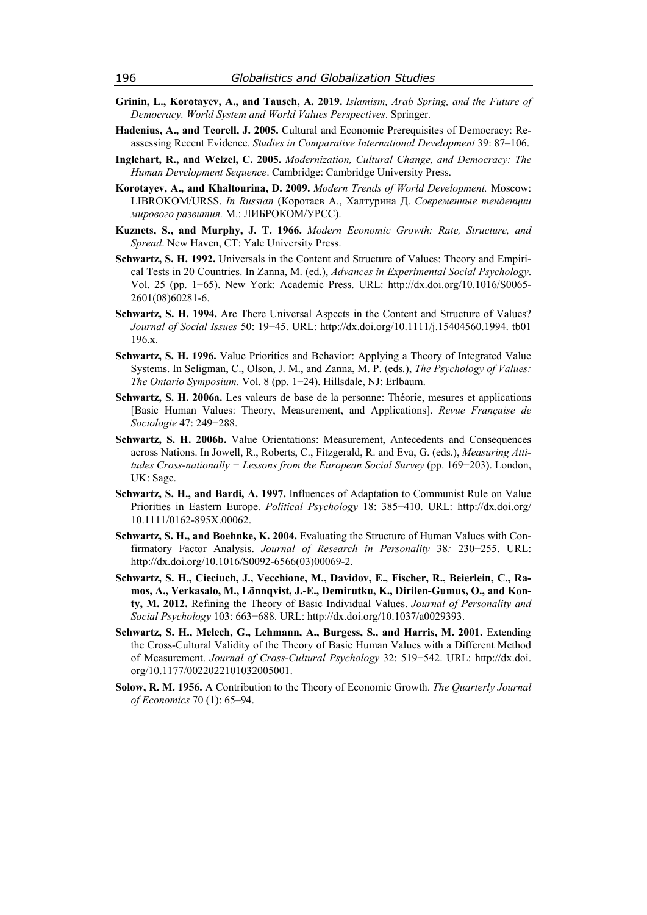- **Grinin, L., Korotayev, A., and Tausch, A. 2019.** *Islamism, Arab Spring, and the Future of Democracy. World System and World Values Perspectives*. Springer.
- **Hadenius, A., and Teorell, J. 2005.** Cultural and Economic Prerequisites of Democracy: Reassessing Recent Evidence. *Studies in Comparative International Development* 39: 87–106.
- **Inglehart, R., and Welzel, C. 2005.** *Modernization, Cultural Change, and Democracy: The Human Development Sequence*. Cambridge: Cambridge University Press.
- **Korotayev, A., and Khaltourina, D. 2009.** *Modern Trends of World Development.* Moscow: LIBROKOM/URSS. *In Russian* (Коротаев А., Халтурина Д. *Современные тенденции мирового развития.* М.: ЛИБРОКОМ/УРСС).
- **Kuznets, S., and Murphy, J. T. 1966.** *Modern Economic Growth: Rate, Structure, and Spread*. New Haven, CT: Yale University Press.
- **Schwartz, S. H. 1992.** Universals in the Content and Structure of Values: Theory and Empirical Tests in 20 Countries. In Zanna, M. (ed.), *Advances in Experimental Social Psychology*. Vol. 25 (pp. 1−65). New York: Academic Press. URL: http://dx.doi.org/10.1016/S0065- 2601(08)60281-6.
- **Schwartz, S. H. 1994.** Are There Universal Aspects in the Content and Structure of Values? *Journal of Social Issues* 50: 19−45. URL: http://dx.doi.org/10.1111/j.15404560.1994. tb01 196.x.
- **Schwartz, S. H. 1996.** Value Priorities and Behavior: Applying a Theory of Integrated Value Systems. In Seligman, C., Olson, J. M., and Zanna, M. P. (eds*.*), *The Psychology of Values: The Ontario Symposium*. Vol. 8 (pp. 1−24). Hillsdale, NJ: Erlbaum.
- **Schwartz, S. H. 2006a.** Les valeurs de base de la personne: Théorie, mesures et applications [Basic Human Values: Theory, Measurement, and Applications]. *Revue Française de Sociologie* 47: 249−288.
- **Schwartz, S. H. 2006b.** Value Orientations: Measurement, Antecedents and Consequences across Nations. In Jowell, R., Roberts, C., Fitzgerald, R. and Eva, G. (eds.), *Measuring Attitudes Cross-nationally − Lessons from the European Social Survey* (pp. 169−203). London, UK: Sage.
- **Schwartz, S. H., and Bardi, A. 1997.** Influences of Adaptation to Communist Rule on Value Priorities in Eastern Europe. *Political Psychology* 18: 385−410. URL: http://dx.doi.org/ 10.1111/0162-895X.00062.
- **Schwartz, S. H., and Boehnke, K. 2004.** Evaluating the Structure of Human Values with Confirmatory Factor Analysis. *Journal of Research in Personality* 38*:* 230−255. URL: http://dx.doi.org/10.1016/S0092-6566(03)00069-2.
- **Schwartz, S. H., Cieciuch, J., Vecchione, M., Davidov, E., Fischer, R., Beierlein, C., Ramos, A., Verkasalo, M., Lönnqvist, J.-E., Demirutku, K., Dirilen-Gumus, O., and Konty, M. 2012.** Refining the Theory of Basic Individual Values. *Journal of Personality and Social Psychology* 103: 663−688. URL: http://dx.doi.org/10.1037/a0029393.
- **Schwartz, S. H., Melech, G., Lehmann, A., Burgess, S., and Harris, M. 2001.** Extending the Cross-Cultural Validity of the Theory of Basic Human Values with a Different Method of Measurement. *Journal of Cross-Cultural Psychology* 32: 519−542. URL: http://dx.doi. org/10.1177/0022022101032005001.
- **Solow, R. M. 1956.** A Contribution to the Theory of Economic Growth. *The Quarterly Journal of Economics* 70 (1): 65–94.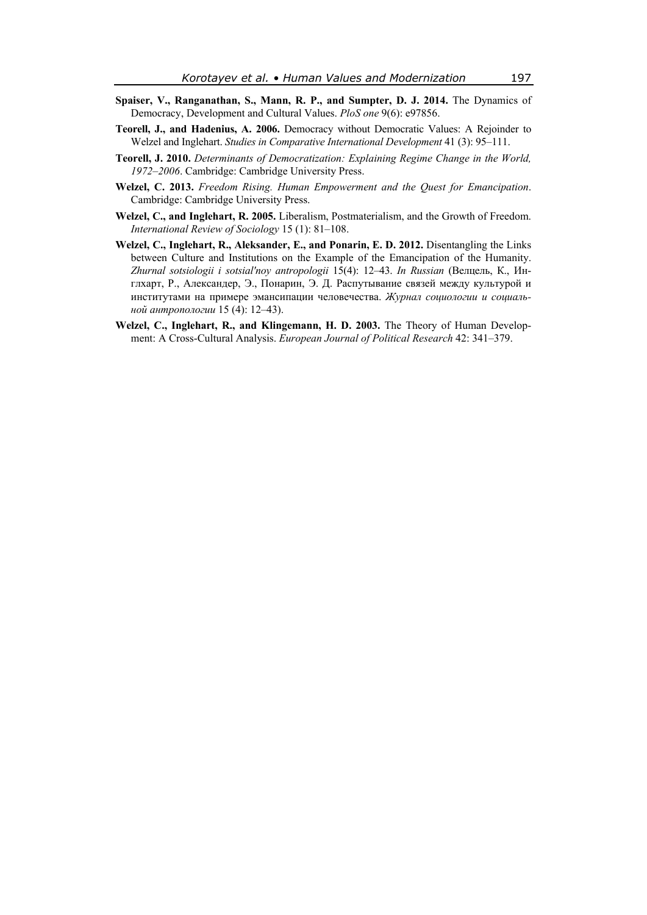- **Spaiser, V., Ranganathan, S., Mann, R. P., and Sumpter, D. J. 2014.** The Dynamics of Democracy, Development and Cultural Values. *PloS one* 9(6): e97856.
- **Teorell, J., and Hadenius, A. 2006.** Democracy without Democratic Values: A Rejoinder to Welzel and Inglehart. *Studies in Comparative International Development* 41 (3): 95–111.
- **Teorell, J. 2010.** *Determinants of Democratization: Explaining Regime Change in the World, 1972–2006*. Cambridge: Cambridge University Press.
- **Welzel, C. 2013.** *Freedom Rising. Human Empowerment and the Quest for Emancipation*. Cambridge: Cambridge University Press.
- **Welzel, C., and Inglehart, R. 2005.** Liberalism, Postmaterialism, and the Growth of Freedom. *International Review of Sociology* 15 (1): 81–108.
- **Welzel, C., Inglehart, R., Aleksander, E., and Ponarin, E. D. 2012.** Disentangling the Links between Culture and Institutions on the Example of the Emancipation of the Humanity. *Zhurnal sotsiologii i sotsial'noy antropologii* 15(4): 12–43. *In Russian* (Велцель, К., Инглхарт, Р., Александер, Э., Понарин, Э. Д. Распутывание связей между культурой и институтами на примере эмансипации человечества. *Журнал социологии и социальной антропологии* 15 (4): 12–43).
- **Welzel, C., Inglehart, R., and Klingemann, H. D. 2003.** The Theory of Human Development: A Cross-Cultural Analysis. *European Journal of Political Research* 42: 341–379.